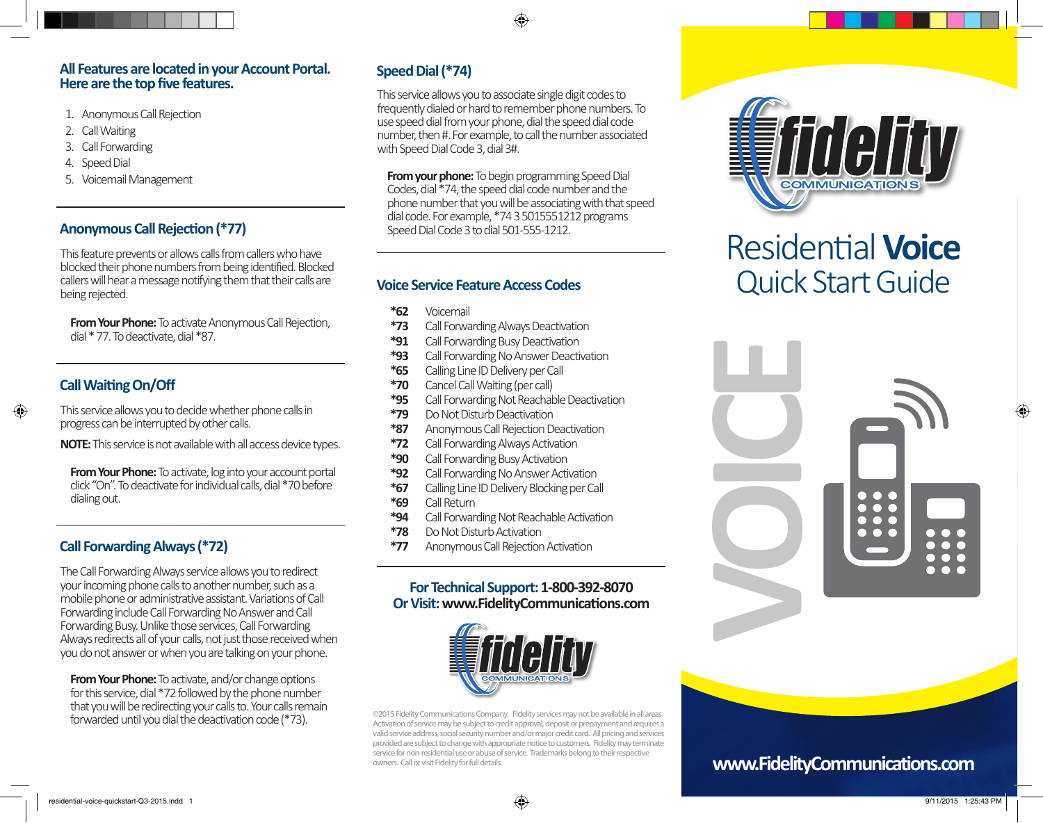#### **All Features are located in your Account Portal. Here are the top five features.**

- 1. Anonymous Call Rejection
- 2. Call Waiting
- 3. Call Forwarding
- 4. Speed Dial
- 5. Voicemail Management

This feature prevents or allows calls from callers who have blocked their phone numbers from being identified. Blocked callers will hear a message notifying them that their calls are being rejected.

**From Your Phone:** To activate Anonymous Call Rejection, dial \* 77. To deactivate, dial \*87.

#### **Call Waiting On/Off**

⊕

This service allows you to decide whether phone calls in progress can be interrupted by other calls.

**NOTE:** This service is not available with all access device types.

**From Your Phone:** To activate, log into your account portal click "On". To deactivate for individual calls, dial \*70 before dialing out.

### **Call Forwarding Always (\*72)**

The Call Forwarding Always service allows you to redirect your incoming phone calls to another number, such as a mobile phone or administrative assistant. Variations of Call Forwarding include Call Forwarding No Answer and Call Forwarding Busy. Unlike those services, Call Forwarding Always redirects all of your calls, not just those received when you do not answer or when you are talking on your phone.

**From Your Phone:** To activate, and/or change options for this service, dial \*72 followed by the phone number that you will be redirecting your calls to. Your calls remain forwarded until you dial the deactivation code (\*73).

## **Speed Dial (\*74)**

This service allows you to associate single digit codes to frequently dialed or hard to remember phone numbers. To use speed dial from your phone, dial the speed dial code number, then #. For example, to call the number associated with Speed Dial Code 3, dial 3#.

⊕

**From your phone:** To begin programming Speed Dial Codes, dial \*74, the speed dial code number and the phone number that you will be associating with that speed<br>dial code. For example, \*74 3 5015551212 programs **Anonymous Call Rejection (\*77)** Speed Dial Code 3 to dial 501-555-1212.

#### **Voice Service Feature Access Codes**

- **\*62** Voicemail
- **\*73** Call Forwarding Always Deactivation
- **\*91** Call Forwarding Busy Deactivation
- **\*93** Call Forwarding No Answer Deactivation
- **\*65** Calling Line ID Delivery per Call
- **\*70** Cancel Call Waiting (per call)
- **\*95** Call Forwarding Not Reachable Deactivation
- **\*79** Do Not Disturb Deactivation
- **\*87** Anonymous Call Rejection Deactivation
- **\*72** Call Forwarding Always Activation
- **\*90** Call Forwarding Busy Activation
- **\*92** Call Forwarding No Answer Activation
- **\*67** Calling Line ID Delivery Blocking per Call
- **\*69** Call Return
- **\*94** Call Forwarding Not Reachable Activation
- **\*78** Do Not Disturb Activation
- **\*77** Anonymous Call Rejection Activation

#### **For Technical Support: 1-800-392-8070 Or Visit: www.FidelityCommunications.com**



©2015 Fidelity Communications Company. Fidelity services may not be available in all areas. Activation of service may be subject to credit approval, deposit or prepayment and requires a valid service address, social security number and/or major credit card. All pricing and services provided are subject to change with appropriate notice to customers. Fidelity may terminate service for non-residential use or abuse of service. Trademarks belong to their respective owners. Call or visit Fidelity for full details.



# Residential **Voice** Quick Start Guide



## **www.FidelityCommunications.com**

⊕